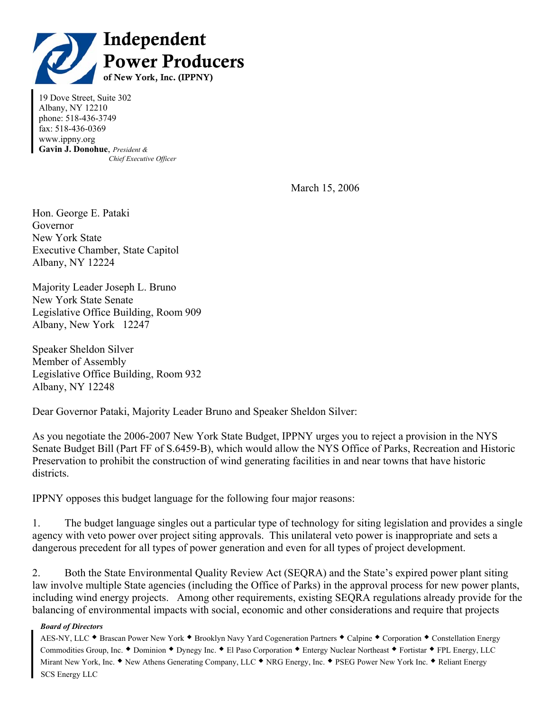

19 Dove Street, Suite 302 Albany, NY 12210 phone: 518-436-3749 fax: 518-436-0369 www.ippny.org **Gavin J. Donohue**, *President & Chief Executive Officer* 

March 15, 2006

Hon. George E. Pataki Governor New York State Executive Chamber, State Capitol Albany, NY 12224

Majority Leader Joseph L. Bruno New York State Senate Legislative Office Building, Room 909 Albany, New York 12247

Speaker Sheldon Silver Member of Assembly Legislative Office Building, Room 932 Albany, NY 12248

Dear Governor Pataki, Majority Leader Bruno and Speaker Sheldon Silver:

As you negotiate the 2006-2007 New York State Budget, IPPNY urges you to reject a provision in the NYS Senate Budget Bill (Part FF of S.6459-B), which would allow the NYS Office of Parks, Recreation and Historic Preservation to prohibit the construction of wind generating facilities in and near towns that have historic districts.

IPPNY opposes this budget language for the following four major reasons:

1. The budget language singles out a particular type of technology for siting legislation and provides a single agency with veto power over project siting approvals. This unilateral veto power is inappropriate and sets a dangerous precedent for all types of power generation and even for all types of project development.

2. Both the State Environmental Quality Review Act (SEQRA) and the State's expired power plant siting law involve multiple State agencies (including the Office of Parks) in the approval process for new power plants, including wind energy projects. Among other requirements, existing SEQRA regulations already provide for the balancing of environmental impacts with social, economic and other considerations and require that projects

## *Board of Directors*

AES-NY, LLC ◆ Brascan Power New York ◆ Brooklyn Navy Yard Cogeneration Partners ◆ Calpine ◆ Corporation ◆ Constellation Energy Commodities Group, Inc.  $\bullet$  Dominion  $\bullet$  Dynegy Inc.  $\bullet$  El Paso Corporation  $\bullet$  Entergy Nuclear Northeast  $\bullet$  Fortistar  $\bullet$  FPL Energy, LLC Mirant New York, Inc. • New Athens Generating Company, LLC • NRG Energy, Inc. • PSEG Power New York Inc. • Reliant Energy SCS Energy LLC